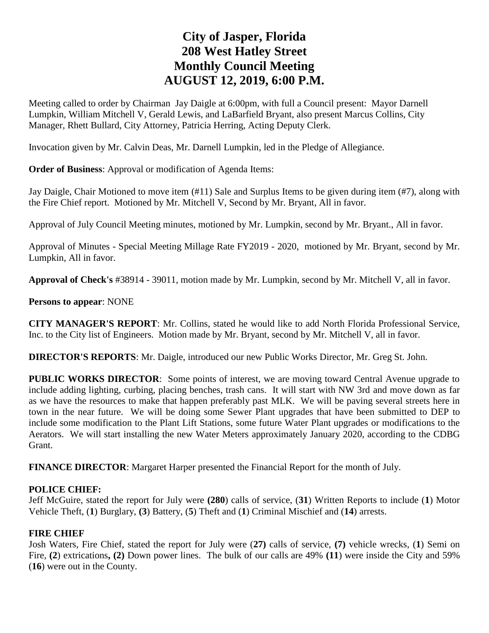# **City of Jasper, Florida 208 West Hatley Street Monthly Council Meeting AUGUST 12, 2019, 6:00 P.M.**

Meeting called to order by Chairman Jay Daigle at 6:00pm, with full a Council present: Mayor Darnell Lumpkin, William Mitchell V, Gerald Lewis, and LaBarfield Bryant, also present Marcus Collins, City Manager, Rhett Bullard, City Attorney, Patricia Herring, Acting Deputy Clerk.

Invocation given by Mr. Calvin Deas, Mr. Darnell Lumpkin, led in the Pledge of Allegiance.

**Order of Business**: Approval or modification of Agenda Items:

Jay Daigle, Chair Motioned to move item (#11) Sale and Surplus Items to be given during item (#7), along with the Fire Chief report. Motioned by Mr. Mitchell V, Second by Mr. Bryant, All in favor.

Approval of July Council Meeting minutes, motioned by Mr. Lumpkin, second by Mr. Bryant., All in favor.

Approval of Minutes - Special Meeting Millage Rate FY2019 - 2020, motioned by Mr. Bryant, second by Mr. Lumpkin, All in favor.

**Approval of Check's** #38914 - 39011, motion made by Mr. Lumpkin, second by Mr. Mitchell V, all in favor.

**Persons to appear**: NONE

**CITY MANAGER'S REPORT**: Mr. Collins, stated he would like to add North Florida Professional Service, Inc. to the City list of Engineers. Motion made by Mr. Bryant, second by Mr. Mitchell V, all in favor.

**DIRECTOR'S REPORTS**: Mr. Daigle, introduced our new Public Works Director, Mr. Greg St. John.

**PUBLIC WORKS DIRECTOR**: Some points of interest, we are moving toward Central Avenue upgrade to include adding lighting, curbing, placing benches, trash cans. It will start with NW 3rd and move down as far as we have the resources to make that happen preferably past MLK. We will be paving several streets here in town in the near future. We will be doing some Sewer Plant upgrades that have been submitted to DEP to include some modification to the Plant Lift Stations, some future Water Plant upgrades or modifications to the Aerators. We will start installing the new Water Meters approximately January 2020, according to the CDBG Grant.

**FINANCE DIRECTOR**: Margaret Harper presented the Financial Report for the month of July.

### **POLICE CHIEF:**

Jeff McGuire, stated the report for July were **(280**) calls of service, (**31**) Written Reports to include (**1**) Motor Vehicle Theft, (**1**) Burglary, **(3**) Battery, (**5**) Theft and (**1**) Criminal Mischief and (**14**) arrests.

### **FIRE CHIEF**

Josh Waters, Fire Chief, stated the report for July were (**27)** calls of service, **(7)** vehicle wrecks, (**1**) Semi on Fire, **(2**) extrications**, (2)** Down power lines. The bulk of our calls are 49% **(11**) were inside the City and 59% (**16**) were out in the County.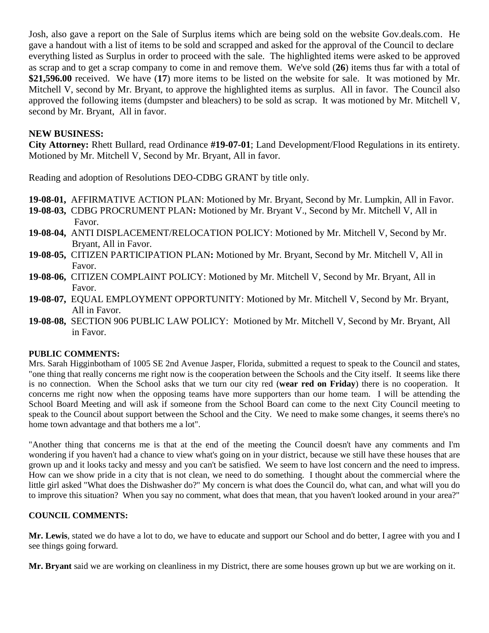Josh, also gave a report on the Sale of Surplus items which are being sold on the website Gov.deals.com. He gave a handout with a list of items to be sold and scrapped and asked for the approval of the Council to declare everything listed as Surplus in order to proceed with the sale. The highlighted items were asked to be approved as scrap and to get a scrap company to come in and remove them. We've sold (**26**) items thus far with a total of **\$21,596.00** received. We have (**17**) more items to be listed on the website for sale. It was motioned by Mr. Mitchell V, second by Mr. Bryant, to approve the highlighted items as surplus. All in favor. The Council also approved the following items (dumpster and bleachers) to be sold as scrap. It was motioned by Mr. Mitchell V, second by Mr. Bryant, All in favor.

## **NEW BUSINESS:**

**City Attorney:** Rhett Bullard, read Ordinance **#19-07-01**; Land Development/Flood Regulations in its entirety. Motioned by Mr. Mitchell V, Second by Mr. Bryant, All in favor.

Reading and adoption of Resolutions DEO-CDBG GRANT by title only.

- **19-08-01,** AFFIRMATIVE ACTION PLAN: Motioned by Mr. Bryant, Second by Mr. Lumpkin, All in Favor.
- **19-08-03,** CDBG PROCRUMENT PLAN**:** Motioned by Mr. Bryant V., Second by Mr. Mitchell V, All in Favor.
- **19-08-04,** ANTI DISPLACEMENT/RELOCATION POLICY: Motioned by Mr. Mitchell V, Second by Mr. Bryant, All in Favor.
- **19-08-05,** CITIZEN PARTICIPATION PLAN**:** Motioned by Mr. Bryant, Second by Mr. Mitchell V, All in Favor.
- **19-08-06,** CITIZEN COMPLAINT POLICY: Motioned by Mr. Mitchell V, Second by Mr. Bryant, All in Favor.
- **19-08-07,** EQUAL EMPLOYMENT OPPORTUNITY: Motioned by Mr. Mitchell V, Second by Mr. Bryant, All in Favor.
- **19-08-08,** SECTION 906 PUBLIC LAW POLICY: Motioned by Mr. Mitchell V, Second by Mr. Bryant, All in Favor.

#### **PUBLIC COMMENTS:**

Mrs. Sarah Higginbotham of 1005 SE 2nd Avenue Jasper, Florida, submitted a request to speak to the Council and states, "one thing that really concerns me right now is the cooperation between the Schools and the City itself. It seems like there is no connection. When the School asks that we turn our city red (**wear red on Friday**) there is no cooperation. It concerns me right now when the opposing teams have more supporters than our home team. I will be attending the School Board Meeting and will ask if someone from the School Board can come to the next City Council meeting to speak to the Council about support between the School and the City. We need to make some changes, it seems there's no home town advantage and that bothers me a lot".

"Another thing that concerns me is that at the end of the meeting the Council doesn't have any comments and I'm wondering if you haven't had a chance to view what's going on in your district, because we still have these houses that are grown up and it looks tacky and messy and you can't be satisfied. We seem to have lost concern and the need to impress. How can we show pride in a city that is not clean, we need to do something. I thought about the commercial where the little girl asked "What does the Dishwasher do?" My concern is what does the Council do, what can, and what will you do to improve this situation? When you say no comment, what does that mean, that you haven't looked around in your area?"

#### **COUNCIL COMMENTS:**

**Mr. Lewis**, stated we do have a lot to do, we have to educate and support our School and do better, I agree with you and I see things going forward.

**Mr. Bryant** said we are working on cleanliness in my District, there are some houses grown up but we are working on it.